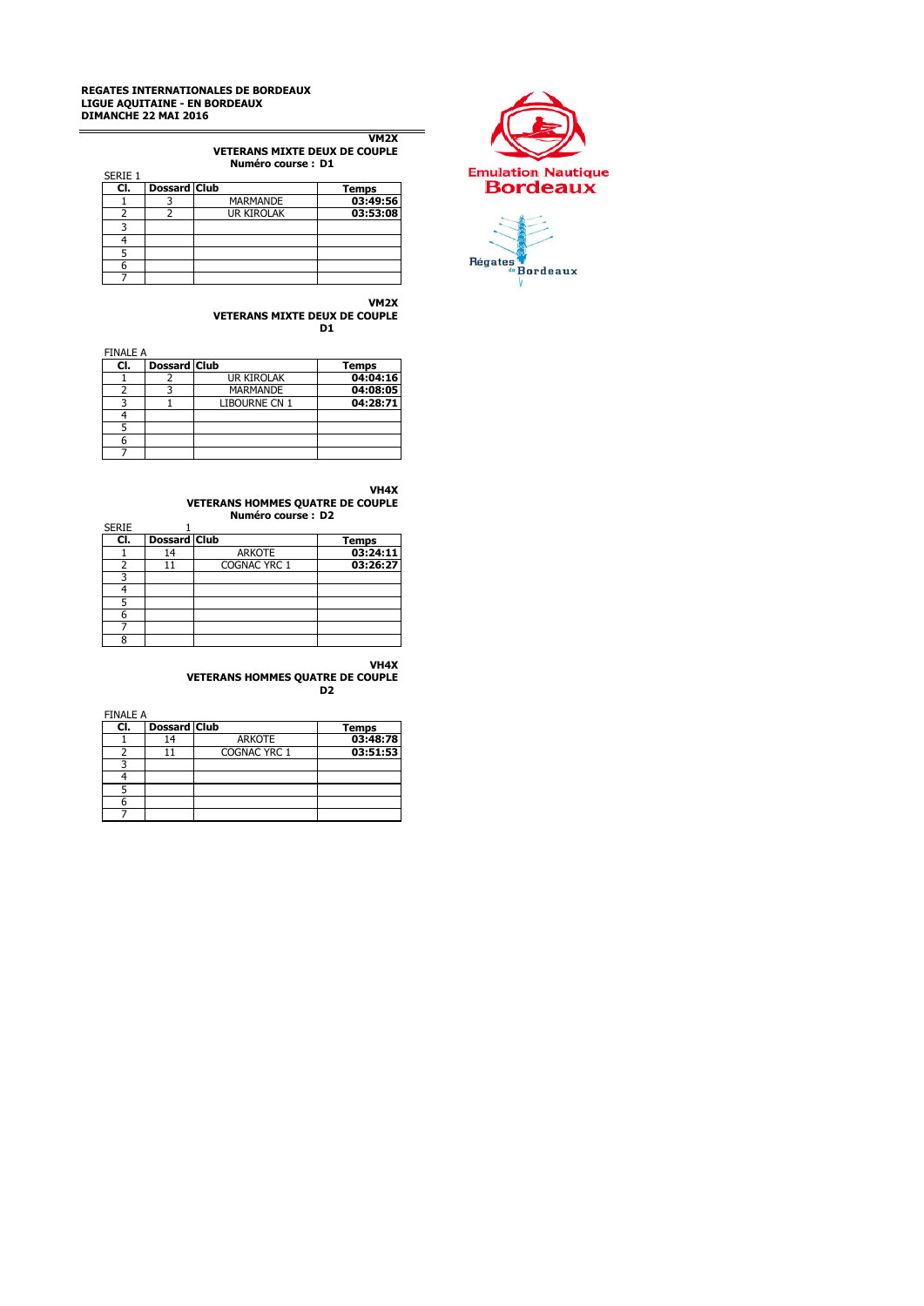### **REGATES INTERNATIONALES DE BORDEAUX LIGUE AQUITAINE - EN BORDEAUX DIMANCHE 22 MAI 2016**

**VM2X VETERANS MIXTE DEUX DE COUPLE Numéro course : D1**

|         |                     | INUILICIU LUUISCII DI |              |
|---------|---------------------|-----------------------|--------------|
| SERIE 1 |                     |                       |              |
| CI.     | <b>Dossard Club</b> |                       | <b>Temps</b> |
|         |                     | <b>MARMANDE</b>       | 03:49:56     |
|         |                     | <b>UR KIROLAK</b>     | 03:53:08     |
|         |                     |                       |              |
|         |                     |                       |              |
|         |                     |                       |              |
|         |                     |                       |              |
|         |                     |                       |              |

**VETERANS MIXTE DEUX DE COUPLE D1**

FINALE A

| CI. | <b>Dossard Club</b> |                      | <b>Temps</b> |
|-----|---------------------|----------------------|--------------|
|     |                     | <b>UR KIROLAK</b>    | 04:04:16     |
|     |                     | <b>MARMANDE</b>      | 04:08:05     |
|     |                     | <b>LIBOURNE CN 1</b> | 04:28:71     |
|     |                     |                      |              |
|     |                     |                      |              |
|     |                     |                      |              |
|     |                     |                      |              |

**VH4X**

**VM2X**

**VETERANS HOMMES QUATRE DE COUPLE**

|              |                     | Numéro course: D2 |          |
|--------------|---------------------|-------------------|----------|
| <b>SERIE</b> |                     |                   |          |
| CI.          | <b>Dossard Club</b> |                   | Temps    |
|              | 14                  | <b>ARKOTE</b>     | 03:24:11 |
|              |                     | COGNAC YRC 1      | 03:26:27 |
|              |                     |                   |          |
|              |                     |                   |          |
| 5            |                     |                   |          |
| 6            |                     |                   |          |
|              |                     |                   |          |
| ႙            |                     |                   |          |

### **VH4X VETERANS HOMMES QUATRE DE COUPLE D2**

FINALE A

| CI. | <b>Dossard Club</b> |               | <b>Temps</b> |
|-----|---------------------|---------------|--------------|
|     |                     | <b>ARKOTE</b> | 03:48:78     |
|     |                     | COGNAC YRC 1  | 03:51:53     |
|     |                     |               |              |
|     |                     |               |              |
|     |                     |               |              |
|     |                     |               |              |
|     |                     |               |              |



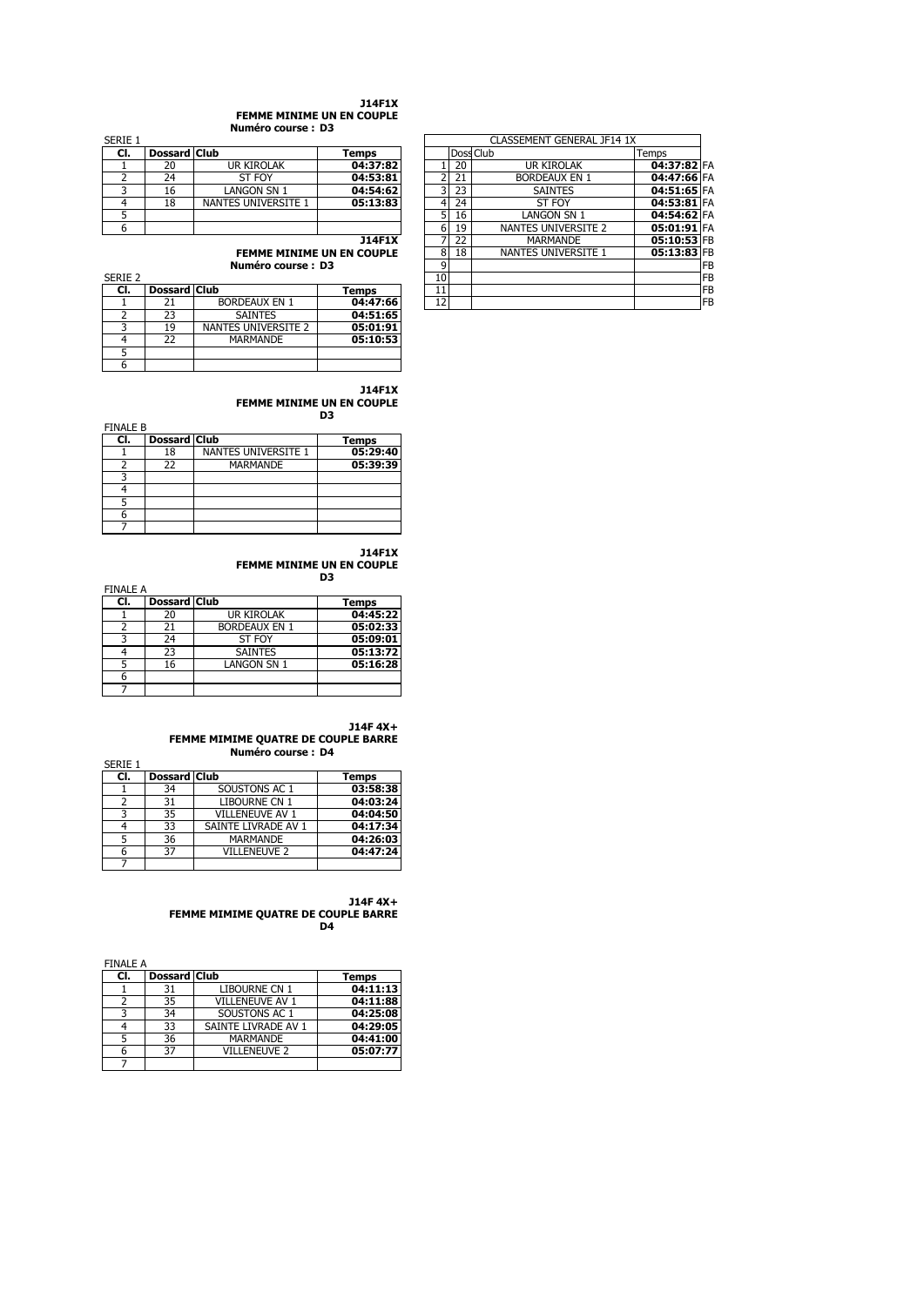#### **J14F1X FEMME MINIME UN EN COUPLE Numéro course : D3**

| SERIE Z |                     |                      |          |
|---------|---------------------|----------------------|----------|
| CI.     | <b>Dossard Club</b> |                      | Temps    |
|         |                     | <b>BORDEAUX EN 1</b> | 04:47:66 |
|         | 23                  | <b>SAINTES</b>       | 04:51:65 |
|         | 19                  | NANTES UNIVERSITE 2  | 05:01:91 |
|         | 22                  | MARMANDE             | 05:10:53 |
|         |                     |                      |          |
|         |                     |                      |          |

**J14F1X FEMME MINIME UN EN COUPLE D3**

 $\overline{a}$ 

| <b>FINALE B</b> |                     |                     |              |
|-----------------|---------------------|---------------------|--------------|
| CI.             | <b>Dossard Club</b> |                     | <b>Temps</b> |
|                 | 18                  | NANTES UNIVERSITE 1 | 05:29:40     |
|                 | 22                  | <b>MARMANDE</b>     | 05:39:39     |
| ิว              |                     |                     |              |
|                 |                     |                     |              |
|                 |                     |                     |              |
| 6               |                     |                     |              |
|                 |                     |                     |              |

**J14F1X FEMME MINIME UN EN COUPLE D3**

FINALE A

| CI. | <b>Dossard Club</b> |                      | Temps    |
|-----|---------------------|----------------------|----------|
|     | 20                  | UR KIROLAK           | 04:45:22 |
|     | 21                  | <b>BORDEAUX EN 1</b> | 05:02:33 |
|     | 24                  | ST FOY               | 05:09:01 |
|     | 23                  | <b>SAINTES</b>       | 05:13:72 |
|     | 16                  | <b>LANGON SN 1</b>   | 05:16:28 |
| n   |                     |                      |          |
|     |                     |                      |          |

**J14F 4X+**

**FEMME MIMIME QUATRE DE COUPLE BARRE Numéro course : D4**

|         |                     | NUMERO COURSE : D4  |          |
|---------|---------------------|---------------------|----------|
| SERIE 1 |                     |                     |          |
| CI.     | <b>Dossard Club</b> |                     | Temps    |
|         | 34                  | SOUSTONS AC 1       | 03:58:38 |
| 2       | 31                  | LIBOURNE CN 1       | 04:03:24 |
| 3       | 35                  | VILLENEUVE AV 1     | 04:04:50 |
|         | 33                  | SAINTE LIVRADE AV 1 | 04:17:34 |
| 5       | 36                  | <b>MARMANDE</b>     | 04:26:03 |
| 6       | 37                  | <b>VILLENEUVE 2</b> | 04:47:24 |
|         |                     |                     |          |

**J14F 4X+ FEMME MIMIME QUATRE DE COUPLE BARRE D4**

| <b>FINALE A</b> |              |                      |              |
|-----------------|--------------|----------------------|--------------|
| CI.             | Dossard Club |                      | <b>Temps</b> |
|                 | 31           | <b>LIBOURNE CN 1</b> | 04:11:13     |
|                 | 35           | VILLENEUVE AV 1      | 04:11:88     |
| 3               | 34           | SOUSTONS AC 1        | 04:25:08     |
|                 | 33           | SAINTE LIVRADE AV 1  | 04:29:05     |
|                 | 36           | <b>MARMANDE</b>      | 04:41:00     |
| 6               | 37           | <b>VILLENEUVE 2</b>  | 05:07:77     |
|                 |              |                      |              |

| Serie 1 |                     |                                  |               |    |           | CLASSEMENT GENERAL JF14 1X |             |            |
|---------|---------------------|----------------------------------|---------------|----|-----------|----------------------------|-------------|------------|
| CI.     | Dossard Club        |                                  | <b>Temps</b>  |    | Doss Club |                            | Temps       |            |
|         | 20                  | UR KIROLAK                       | 04:37:82      |    | 20        | <b>UR KIROLAK</b>          | 04:37:82 FA |            |
|         | 24                  | ST FOY                           | 04:53:81      | ำ  | 21        | <b>BORDEAUX EN 1</b>       | 04:47:66 FA |            |
|         | 16                  | LANGON SN 1                      | 04:54:62      | 3I | 23        | <b>SAINTES</b>             | 04:51:65 FA |            |
| 4       | 18                  | NANTES UNIVERSITE 1              | 05:13:83      | 4  | 24        | ST FOY                     | 04:53:81 FA |            |
| 5       |                     |                                  |               | 5  | 16        | LANGON SN 1                | 04:54:62 FA |            |
| 6       |                     |                                  |               | 6  | 19        | NANTES UNIVERSITE 2        | 05:01:91 FA |            |
|         |                     |                                  | <b>J14F1X</b> |    | 22        | <b>MARMANDE</b>            | 05:10:53 FB |            |
|         |                     | <b>FEMME MINIME UN EN COUPLE</b> |               | 8  | 18        | NANTES UNIVERSITE 1        | 05:13:83 FB |            |
|         |                     | Numéro course: D3                |               | 9  |           |                            |             | IFB        |
| Serie 2 |                     |                                  |               | 10 |           |                            |             | IFB        |
| CI.     | <b>Dossard Club</b> |                                  | Temps         | 11 |           |                            |             | <b>IFB</b> |
|         | 21                  | <b>BORDEAUX EN 1</b>             | 04:47:66      | 12 |           |                            |             | IFB        |
|         |                     |                                  |               |    |           |                            |             |            |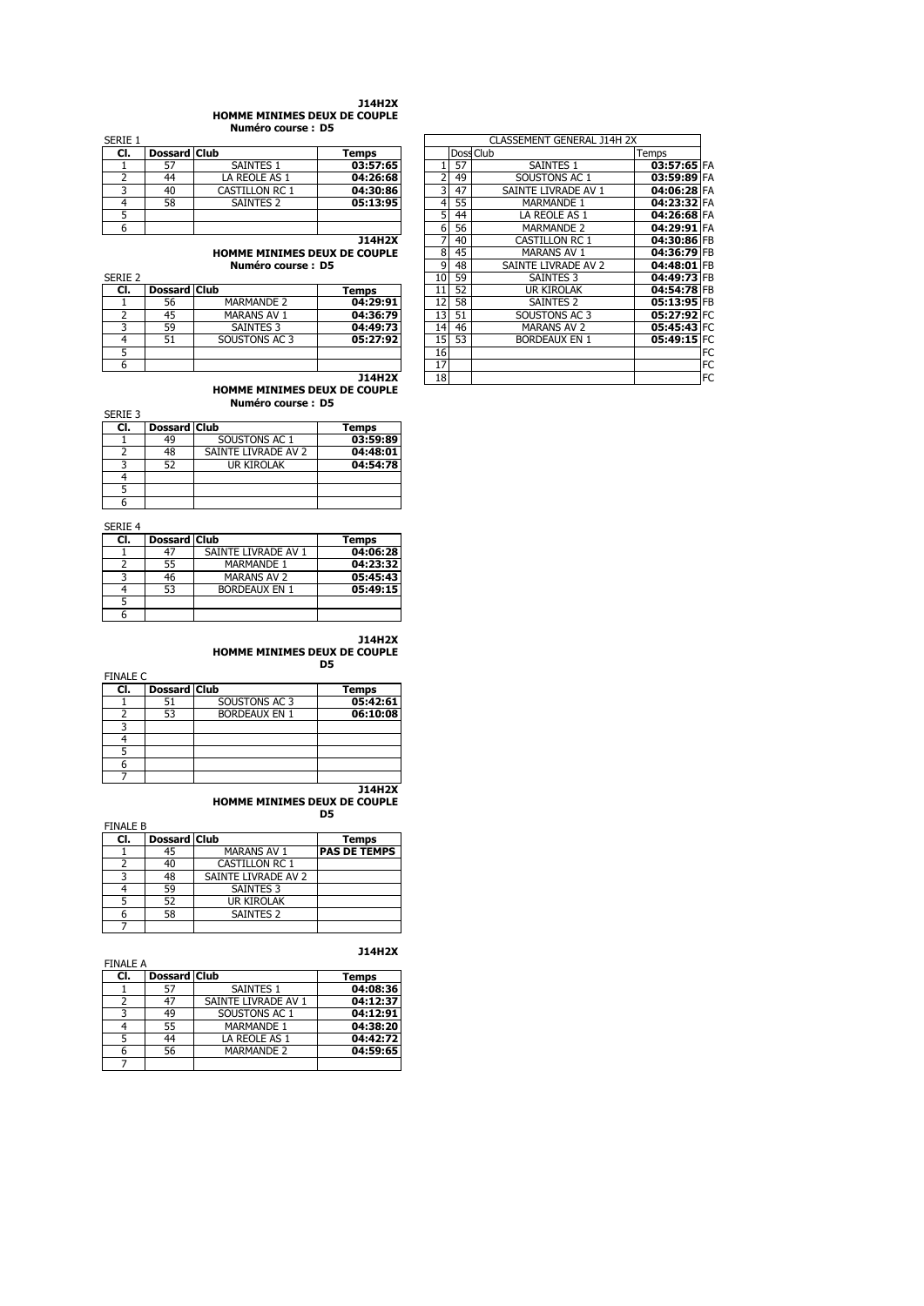#### **J14H2X HOMME MINIMES DEUX DE COUPLE**

**Numéro course : D5**

|         |                     | NUMER COUPS . DJ      |          |  |    |                            |       |
|---------|---------------------|-----------------------|----------|--|----|----------------------------|-------|
| SERIE 1 |                     |                       |          |  |    | CLASSEMENT GENERAL J14H 2X |       |
| CI.     | <b>Dossard Club</b> |                       | Temps    |  |    | Doss Club                  | Temps |
|         |                     | SAINTES 1             | 03:57:65 |  |    | SAINTES 1                  | 03    |
|         | 44                  | LA REOLE AS 1         | 04:26:68 |  | 49 | SOUSTONS AC 1              | 03    |
|         | 40                  | <b>CASTILLON RC 1</b> | 04:30:86 |  | 47 | SAINTE LIVRADE AV 1        | 04    |
|         | 58                  | SAINTES <sub>2</sub>  | 05:13:95 |  | 55 | <b>MARMANDE 1</b>          | 04    |
|         |                     |                       |          |  | 44 | LA REOLE AS 1              | 04    |
|         |                     |                       |          |  |    |                            |       |

| SERIE 2 |                     |                    |              |
|---------|---------------------|--------------------|--------------|
| CI.     | <b>Dossard Club</b> |                    | <b>Temps</b> |
|         | 56                  | <b>MARMANDE 2</b>  | 04:29:91     |
|         | 45                  | <b>MARANS AV 1</b> | 04:36:79     |
|         | 59                  | <b>SAINTES 3</b>   | 04:49:73     |
|         |                     | SOUSTONS AC 3      | 05:27:92     |
|         |                     |                    |              |
|         |                     |                    |              |

| SERIE 1 | CLASSEMENT GENERAL J14H 2X |                              |               |    |           |                       |             |           |
|---------|----------------------------|------------------------------|---------------|----|-----------|-----------------------|-------------|-----------|
| CI.     | <b>Dossard Club</b>        |                              | Temps         |    | Doss Club |                       | Temps       |           |
|         | 57                         | <b>SAINTES 1</b>             | 03:57:65      |    | 57        | <b>SAINTES 1</b>      | 03:57:65 FA |           |
| 2       | 44                         | LA REOLE AS 1                | 04:26:68      | 2  | 49        | SOUSTONS AC 1         | 03:59:89 FA |           |
| 3       | 40                         | <b>CASTILLON RC 1</b>        | 04:30:86      | 3  | 47        | SAINTE LIVRADE AV 1   | 04:06:28 FA |           |
| 4       | 58                         | SAINTES 2                    | 05:13:95      | 4  | 55        | <b>MARMANDE 1</b>     | 04:23:32 FA |           |
| 5       |                            |                              |               | 5  | 44        | LA REOLE AS 1         | 04:26:68 FA |           |
| 6       |                            |                              |               | 6  | 56        | <b>MARMANDE 2</b>     | 04:29:91 FA |           |
|         |                            |                              | <b>J14H2X</b> | 7  | 40        | <b>CASTILLON RC 1</b> | 04:30:86 FB |           |
|         |                            | HOMME MINIMES DEUX DE COUPLE |               | 8  | 45        | <b>MARANS AV 1</b>    | 04:36:79 FB |           |
|         |                            | Numéro course: D5            |               | 9  | 48        | SAINTE LIVRADE AV 2   | 04:48:01 FB |           |
| Serie 2 |                            |                              |               | 10 | 59        | <b>SAINTES 3</b>      | 04:49:73 FB |           |
| CI.     | <b>Dossard Club</b>        |                              | Temps         | 11 | 52        | <b>UR KIROLAK</b>     | 04:54:78 FB |           |
|         | 56                         | <b>MARMANDE 2</b>            | 04:29:91      | 12 | 58        | SAINTES <sub>2</sub>  | 05:13:95 FB |           |
| 2       | 45                         | <b>MARANS AV 1</b>           | 04:36:79      | 13 | 51        | SOUSTONS AC 3         | 05:27:92 FC |           |
| 3       | 59                         | <b>SAINTES 3</b>             | 04:49:73      | 14 | 46        | <b>MARANS AV 2</b>    | 05:45:43 FC |           |
| 4       | 51                         | SOUSTONS AC 3                | 05:27:92      | 15 | 53        | <b>BORDEAUX EN 1</b>  | 05:49:15 FC |           |
| 5       |                            |                              |               | 16 |           |                       |             | FC.       |
| 6       |                            |                              |               | 17 |           |                       |             | FC        |
|         |                            |                              | <b>J14H2X</b> | 18 |           |                       |             | <b>FC</b> |
|         |                            |                              |               |    |           |                       |             |           |

**HOMME MINIMES DEUX DE COUPLE Numéro course : D5**

| SERIE 3 |                     |                     |              |
|---------|---------------------|---------------------|--------------|
| CI.     | <b>Dossard Club</b> |                     | <b>Temps</b> |
|         | 49                  | SOUSTONS AC 1       | 03:59:89     |
|         | 48                  | SAINTE LIVRADE AV 2 | 04:48:01     |
|         | 52                  | <b>UR KIROLAK</b>   | 04:54:78     |
|         |                     |                     |              |
|         |                     |                     |              |
|         |                     |                     |              |

SERIE 4

| CI. | <b>Dossard Club</b> |                      | <b>Temps</b> |
|-----|---------------------|----------------------|--------------|
|     | 47                  | SAINTE LIVRADE AV 1  | 04:06:28     |
|     | 55                  | <b>MARMANDE 1</b>    | 04:23:32     |
|     | 46                  | <b>MARANS AV 2</b>   | 05:45:43     |
|     | 53                  | <b>BORDEAUX EN 1</b> | 05:49:15     |
|     |                     |                      |              |
|     |                     |                      |              |

## **J14H2X**

### **HOMME MINIMES DEUX DE COUPLE D5**

FINALE C

| CI. | <b>Dossard Club</b> |                      | Temps    |
|-----|---------------------|----------------------|----------|
|     |                     | SOUSTONS AC 3        | 05:42:61 |
|     | 53                  | <b>BORDEAUX EN 1</b> | 06:10:08 |
|     |                     |                      |          |
|     |                     |                      |          |
|     |                     |                      |          |
|     |                     |                      |          |
|     |                     |                      |          |

#### **J14H2X HOMME MINIMES DEUX DE COUPLE D5**

FINALE B

| CI. | <b>Dossard Club</b> |                       | <b>Temps</b>        |
|-----|---------------------|-----------------------|---------------------|
|     | 45                  | <b>MARANS AV 1</b>    | <b>PAS DE TEMPS</b> |
|     | 40                  | <b>CASTILLON RC 1</b> |                     |
|     | 48                  | SAINTE LIVRADE AV 2   |                     |
|     | 59                  | <b>SAINTES 3</b>      |                     |
|     | 52                  | UR KIROLAK            |                     |
|     | 58                  | <b>SAINTES 2</b>      |                     |
|     |                     |                       |                     |

| <b>FINALE A</b> |                     |                     | J14H2X   |
|-----------------|---------------------|---------------------|----------|
| CI.             | <b>Dossard Club</b> |                     | Temps    |
|                 | 57                  | <b>SAINTES 1</b>    | 04:08:36 |
|                 | 47                  | SAINTE LIVRADE AV 1 | 04:12:37 |
| 3               | 49                  | SOUSTONS AC 1       | 04:12:91 |
|                 | 55                  | <b>MARMANDE 1</b>   | 04:38:20 |
| 5               | 44                  | LA REOLE AS 1       | 04:42:72 |
| 6               | 56                  | <b>MARMANDE 2</b>   | 04:59:65 |
|                 |                     |                     |          |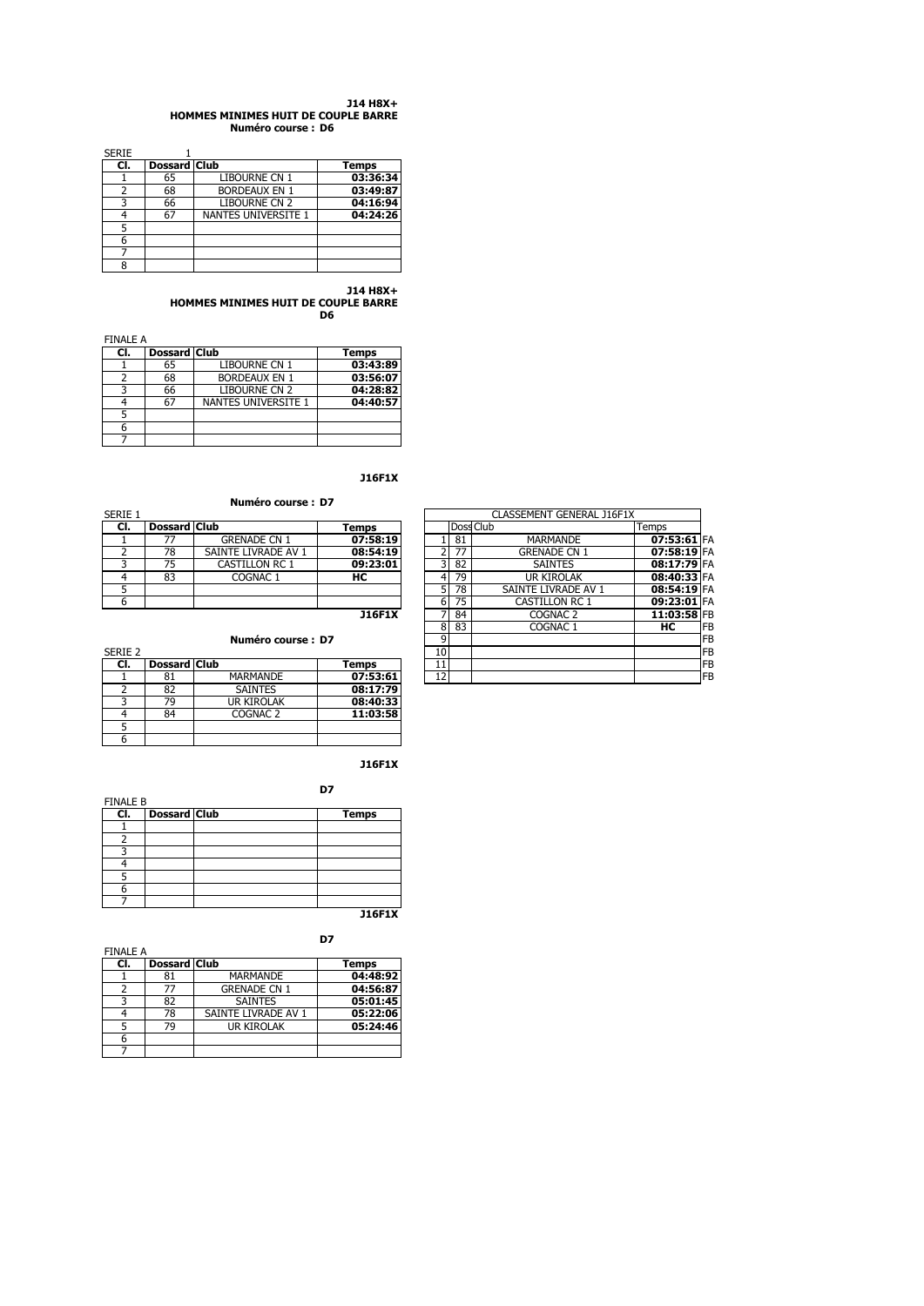#### **J14 H8X+ HOMMES MINIMES HUIT DE COUPLE BARRE Numéro course : D6**

SERIE 1 **Cl. Dossard Club Temps** <u>CL Dossard Club</u> Temps<br>1 65 LIBOURNE CN 1 03:36:34<br>2 68 BORDEAUX EN 1 03:49:87 2 68 BORDEAUX EN 1 **03:49:87** 3 66 LIBOURNE CN 2 **04:16:94** 4 67 NANTES UNIVERSITE 1 **04:24:26** 5 6 7 8

> **J14 H8X+ HOMMES MINIMES HUIT DE COUPLE BARRE**

**D6**

| <b>FINALE A</b> |              |                            |              |
|-----------------|--------------|----------------------------|--------------|
| CI.             | Dossard Club |                            | <b>Temps</b> |
|                 | 65           | <b>LIBOURNE CN 1</b>       | 03:43:89     |
|                 | 68           | <b>BORDEAUX EN 1</b>       | 03:56:07     |
|                 | 66           | <b>LIBOURNE CN 2</b>       | 04:28:82     |
|                 | 67           | <b>NANTES UNIVERSITE 1</b> | 04:40:57     |
|                 |              |                            |              |
|                 |              |                            |              |
|                 |              |                            |              |

**J16F1X**

# **Numéro course : D7**

|         | Numero course : D7 |                       |          |  |            |                           |                      |               |
|---------|--------------------|-----------------------|----------|--|------------|---------------------------|----------------------|---------------|
| SERIE 1 |                    |                       |          |  |            | CLASSEMENT GENERAL J16F1X |                      |               |
| CI.     | Dossard Club       |                       | Temps    |  |            |                           | Doss Club            | Temps         |
|         |                    | <b>GRENADE CN 1</b>   | 07:58:19 |  |            | 81                        | <b>MARMANDE</b>      | 07:53:61 FA   |
|         | 78                 | SAINTE LIVRADE AV 1   | 08:54:19 |  |            | 77                        | <b>GRENADE CN 1</b>  | $07:58:19$ FA |
|         | 75                 | <b>CASTILLON RC 1</b> | 09:23:01 |  |            | 82                        | <b>SAINTES</b>       | 08:17:79 FA   |
|         | 83                 | COGNAC <sub>1</sub>   | нс       |  |            | 79                        | <b>UR KIROLAK</b>    | 08:40:33 FA   |
|         |                    |                       |          |  |            | 78                        | SAINTE LIVRADE AV 1  | 08:54:19 FA   |
|         |                    |                       |          |  | $\epsilon$ | <b>75</b>                 | $CACTII$ $ON$ $DC$ 1 | $0.22.01$ EA  |

## **Numéro course : D7**

| SERIE 2 |                     |                     |              |
|---------|---------------------|---------------------|--------------|
| CI.     | <b>Dossard Club</b> |                     | <b>Temps</b> |
|         | 81                  | MARMANDE            | 07:53:61     |
|         | 82                  | <b>SAINTES</b>      | 08:17:79     |
|         | 79                  | <b>UR KIROLAK</b>   | 08:40:33     |
|         | 84                  | COGNAC <sub>2</sub> | 11:03:58     |
|         |                     |                     |              |
|         |                     |                     |              |

**J16F1X**

| <b>FINALE B</b> |                     | D7           |
|-----------------|---------------------|--------------|
| CI.             | <b>Dossard Club</b> | <b>Temps</b> |
|                 |                     |              |
|                 |                     |              |
|                 |                     |              |
|                 |                     |              |
|                 |                     |              |
| 6               |                     |              |
|                 |                     | -------      |

**J16F1X**

| <b>FINALE A</b> |                     |                     | D7           |
|-----------------|---------------------|---------------------|--------------|
| CI.             | <b>Dossard Club</b> |                     | <b>Temps</b> |
|                 | 81                  | <b>MARMANDE</b>     | 04:48:92     |
|                 | 77                  | <b>GRENADE CN 1</b> | 04:56:87     |
|                 | 82                  | <b>SAINTES</b>      | 05:01:45     |
|                 | 78                  | SAINTE LIVRADE AV 1 | 05:22:06     |
|                 | 79                  | UR KIROLAK          | 05:24:46     |
|                 |                     |                     |              |
|                 |                     |                     |              |

| SERIE 1 |                     |                       |               |  |    |           | CLASSEMENT GENERAL J16F1X |             |    |
|---------|---------------------|-----------------------|---------------|--|----|-----------|---------------------------|-------------|----|
| CI.     | <b>Dossard Club</b> |                       | Temps         |  |    | Doss Club |                           | Temps       |    |
|         | 77                  | <b>GRENADE CN 1</b>   | 07:58:19      |  |    | 81        | <b>MARMANDE</b>           | 07:53:61 FA |    |
|         | 78                  | SAINTE LIVRADE AV 1   | 08:54:19      |  |    | 77        | <b>GRENADE CN 1</b>       | 07:58:19 FA |    |
|         | 75                  | <b>CASTILLON RC 1</b> | 09:23:01      |  | 3  | 82        | <b>SAINTES</b>            | 08:17:79 FA |    |
| 4       | 83                  | COGNAC 1              | HС            |  |    | 79        | UR KIROLAK                | 08:40:33 FA |    |
| 5       |                     |                       |               |  | 5  | 78        | SAINTE LIVRADE AV 1       | 08:54:19 FA |    |
| 6       |                     |                       |               |  | 6  | 75        | CASTILLON RC 1            | 09:23:01 FA |    |
|         |                     |                       | <b>J16F1X</b> |  |    | 84        | COGNAC <sub>2</sub>       | 11:03:58 FB |    |
|         |                     |                       |               |  | 8  | 83        | COGNAC 1                  | нc          | FB |
|         | Numéro course: D7   |                       |               |  |    |           | FB                        |             |    |
| Serie 2 |                     |                       |               |  | 10 |           |                           |             | FB |
| CI.     | <b>Dossard Club</b> |                       | Temps         |  | 11 |           |                           |             | FB |
|         | 81                  | <b>MARMANDE</b>       | 07:53:61      |  | 12 |           |                           |             | FB |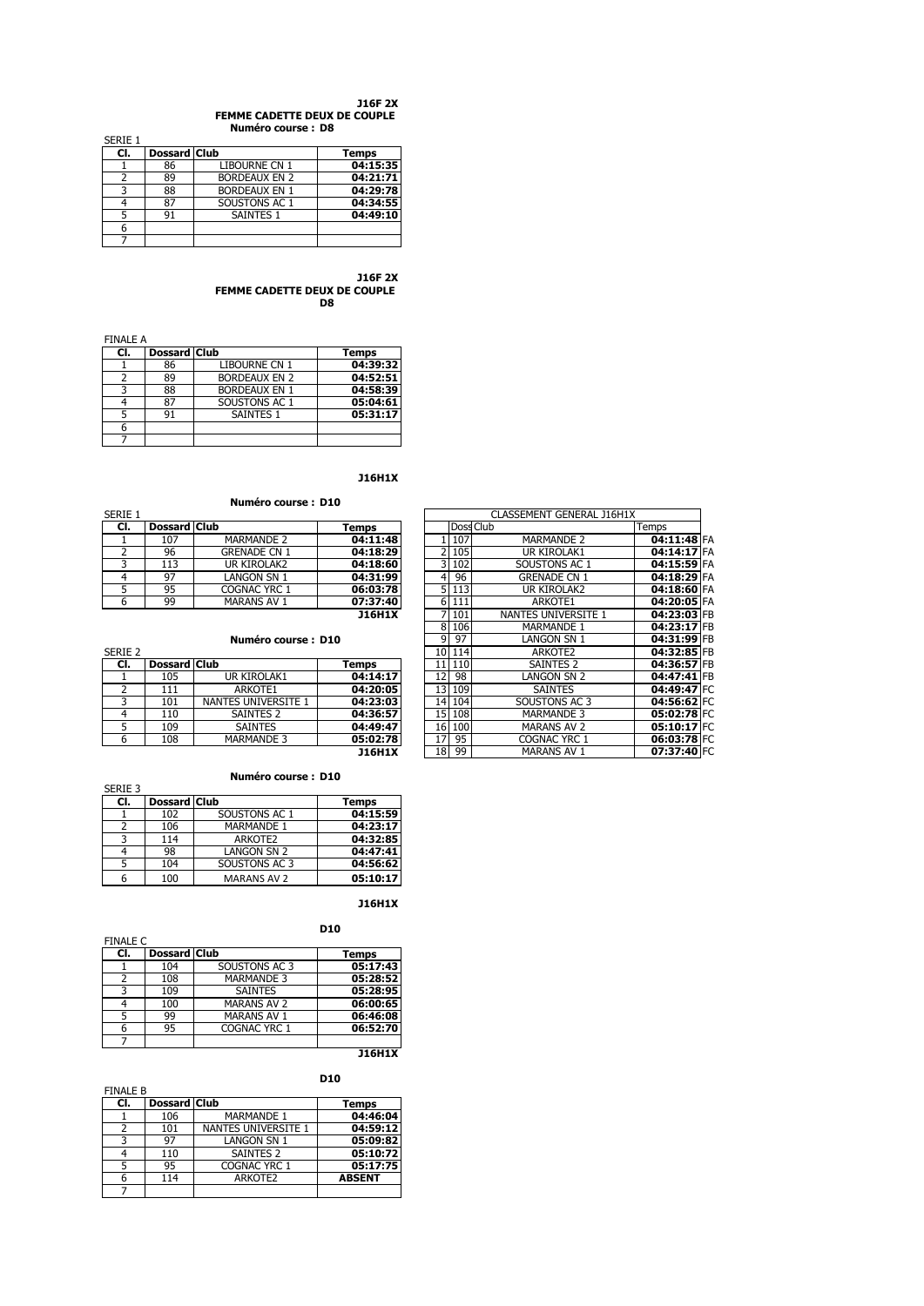#### **J16F 2X FEMME CADETTE DEUX DE COUPLE Numéro course : D8**

|         |              | .                    |              |
|---------|--------------|----------------------|--------------|
| SERIE 1 |              |                      |              |
| CI.     | Dossard Club |                      | <b>Temps</b> |
|         | 86           | LIBOURNE CN 1        | 04:15:35     |
|         | 89           | <b>BORDEAUX EN 2</b> | 04:21:71     |
| ર       | 88           | <b>BORDEAUX EN 1</b> | 04:29:78     |
|         | 87           | SOUSTONS AC 1        | 04:34:55     |
|         | 91           | <b>SAINTES 1</b>     | 04:49:10     |
|         |              |                      |              |
|         |              |                      |              |

**J16F 2X FEMME CADETTE DEUX DE COUPLE D8**

FINALE A **Cl. Dossard Club Temps** 1 86 LIBOURNE CN 1 **04:39:32** 2 89 BORDEAUX EN 2 **04:52:51**<br>
3 88 BORDEAUX EN 1 **04:58:39**<br>
4 87 SOUSTONS AC 1 **05:04:61**<br>
5 91 SAINTES 1 **05:31:17** 3 88 BORDEAUX EN 1 **04:58:39** 4 87 SOUSTONS AC 1 **05:04:61** 5 91 SAINTES 1 **05:31:17** 6 7

**J16H1X**

# **Numéro course : D10**

|         |                     | <b>NUMBER COUPLE</b> : DIV |               |           |                           |       |
|---------|---------------------|----------------------------|---------------|-----------|---------------------------|-------|
| SERIE 1 |                     |                            |               |           | CLASSEMENT GENERAL J16H1X |       |
| CI.     | <b>Dossard Club</b> |                            | Temps         | Doss Club |                           | Temps |
|         | 107                 | <b>MARMANDE 2</b>          | 04:11:48      | 107       | <b>MARMANDE 2</b>         | 04    |
|         | 96                  | <b>GRENADE CN 1</b>        | 04:18:29      | 2 105     | <b>UR KIROLAK1</b>        | 04    |
|         | 113                 | UR KIROLAK2                | 04:18:60      | 3 102     | SOUSTONS AC 1             | 04    |
|         | 97                  | LANGON SN 1                | 04:31:99      | 96        | <b>GRENADE CN 1</b>       | 04    |
|         | 95                  | COGNAC YRC 1               | 06:03:78      | 5 1 1 3   | UR KIROLAK2               | 04    |
| 6       | 99                  | <b>MARANS AV 1</b>         | 07:37:40      | 6 111     | ARKOTE1                   | 04    |
|         |                     |                            | <b>J16H1X</b> | 7 101     | NANTES UNIVERSITE 1       | 04    |

| Numéro course: D10 |  |
|--------------------|--|
|--------------------|--|

| SERIE Z |                     |                     |               |
|---------|---------------------|---------------------|---------------|
| CI.     | <b>Dossard Club</b> |                     | Temps         |
|         | 105                 | UR KIROLAK1         | 04:14:17      |
|         | 111                 | ARKOTE1             | 04:20:05      |
|         | 101                 | NANTES UNIVERSITE 1 | 04:23:03      |
|         | 110                 | <b>SAINTES 2</b>    | 04:36:57      |
|         | 109                 | <b>SAINTES</b>      | 04:49:47      |
|         | 108                 | <b>MARMANDE 3</b>   | 05:02:78      |
|         |                     |                     | <b>J16H1X</b> |

| CI.     | <b>Dossard Club</b> |                     | <b>Temps</b>  |  |                |     | Doss Club           | Temps         |  |
|---------|---------------------|---------------------|---------------|--|----------------|-----|---------------------|---------------|--|
|         | 107                 | <b>MARMANDE 2</b>   | 04:11:48      |  |                | 107 | <b>MARMANDE 2</b>   | 04:11:48 FA   |  |
| 2       | 96                  | <b>GRENADE CN 1</b> | 04:18:29      |  | 2              | 105 | UR KIROLAK1         | 04:14:17 FA   |  |
| 3       | 113                 | UR KIROLAK2         | 04:18:60      |  | 3              | 102 | SOUSTONS AC 1       | 04:15:59 FA   |  |
| 4       | 97                  | LANGON SN 1         | 04:31:99      |  | $\overline{4}$ | 96  | <b>GRENADE CN 1</b> | 04:18:29 FA   |  |
| 5       | 95                  | COGNAC YRC 1        | 06:03:78      |  | 5              | 113 | UR KIROLAK2         | 04:18:60 FA   |  |
| 6       | 99                  | <b>MARANS AV 1</b>  | 07:37:40      |  | 6              | 111 | ARKOTE1             | 04:20:05 FA   |  |
|         |                     |                     | <b>J16H1X</b> |  | 7              | 101 | NANTES UNIVERSITE 1 | 04:23:03 FB   |  |
|         |                     |                     |               |  | 8              | 106 | <b>MARMANDE 1</b>   | 04:23:17 FB   |  |
|         | Numéro course: D10  |                     |               |  | 9              | 97  | LANGON SN 1         | 04:31:99 FB   |  |
| Serie 2 |                     |                     |               |  | 10             | 114 | ARKOTE2             | 04:32:85 FB   |  |
| CI.     | <b>Dossard Club</b> |                     | <b>Temps</b>  |  | 11             | 110 | <b>SAINTES 2</b>    | 04:36:57 FB   |  |
|         | 105                 | UR KIROLAK1         | 04:14:17      |  | 12             | 98  | LANGON SN 2         | 04:47:41 FB   |  |
| 2       | 111                 | ARKOTE1             | 04:20:05      |  | 13             | 109 | <b>SAINTES</b>      | 04:49:47 FC   |  |
| 3       | 101                 | NANTES UNIVERSITE 1 | 04:23:03      |  | 14             | 104 | SOUSTONS AC 3       | 04:56:62 FC   |  |
| 4       | 110                 | SAINTES 2           | 04:36:57      |  | 15             | 108 | <b>MARMANDE 3</b>   | 05:02:78 FC   |  |
| 5       | 109                 | <b>SAINTES</b>      | 04:49:47      |  | 16             | 100 | <b>MARANS AV 2</b>  | $05:10:17$ FC |  |
| 6       | 108                 | <b>MARMANDE 3</b>   | 05:02:78      |  | 17             | 95  | <b>COGNAC YRC 1</b> | 06:03:78 FC   |  |
|         |                     |                     | <b>J16H1X</b> |  | 18             | 99  | <b>MARANS AV 1</b>  | 07:37:40 FC   |  |
|         |                     |                     |               |  |                |     |                     |               |  |

٦

## **Numéro course : D10**

|         |              | NUMERO COUISE . DIV |              |
|---------|--------------|---------------------|--------------|
| SERIE 3 |              |                     |              |
| CI.     | Dossard Club |                     | <b>Temps</b> |
|         | 102          | SOUSTONS AC 1       | 04:15:59     |
| 2       | 106          | <b>MARMANDE 1</b>   | 04:23:17     |
| ર       | 114          | ARKOTE2             | 04:32:85     |
| 4       | 98           | LANGON SN 2         | 04:47:41     |
|         | 104          | SOUSTONS AC 3       | 04:56:62     |
|         | 100          | <b>MARANS AV 2</b>  | 05:10:17     |

## **J16H1X**

| <b>FINALE C</b> |                     |                    | <b>D10</b>   |
|-----------------|---------------------|--------------------|--------------|
| CI.             | <b>Dossard Club</b> |                    | <b>Temps</b> |
|                 | 104                 | SOUSTONS AC 3      | 05:17:43     |
| 2               | 108                 | <b>MARMANDE 3</b>  | 05:28:52     |
| 3               | 109                 | <b>SAINTES</b>     | 05:28:95     |
| 4               | 100                 | <b>MARANS AV 2</b> | 06:00:65     |
| 5               | 99                  | <b>MARANS AV 1</b> | 06:46:08     |
|                 | 95                  | COGNAC YRC 1       | 06:52:70     |
|                 |                     |                    |              |

**J16H1X**

| <b>FINALE B</b> |                     |                      | <b>D10</b>    |
|-----------------|---------------------|----------------------|---------------|
| CI.             | <b>Dossard Club</b> |                      | <b>Temps</b>  |
|                 | 106                 | <b>MARMANDE 1</b>    | 04:46:04      |
| 2               | 101                 | NANTES UNIVERSITE 1  | 04:59:12      |
| ٦               | 97                  | <b>LANGON SN 1</b>   | 05:09:82      |
|                 | 110                 | SAINTES <sub>2</sub> | 05:10:72      |
| 5               | 95                  | COGNAC YRC 1         | 05:17:75      |
|                 | 114                 | ARKOTE2              | <b>ABSENT</b> |
|                 |                     |                      |               |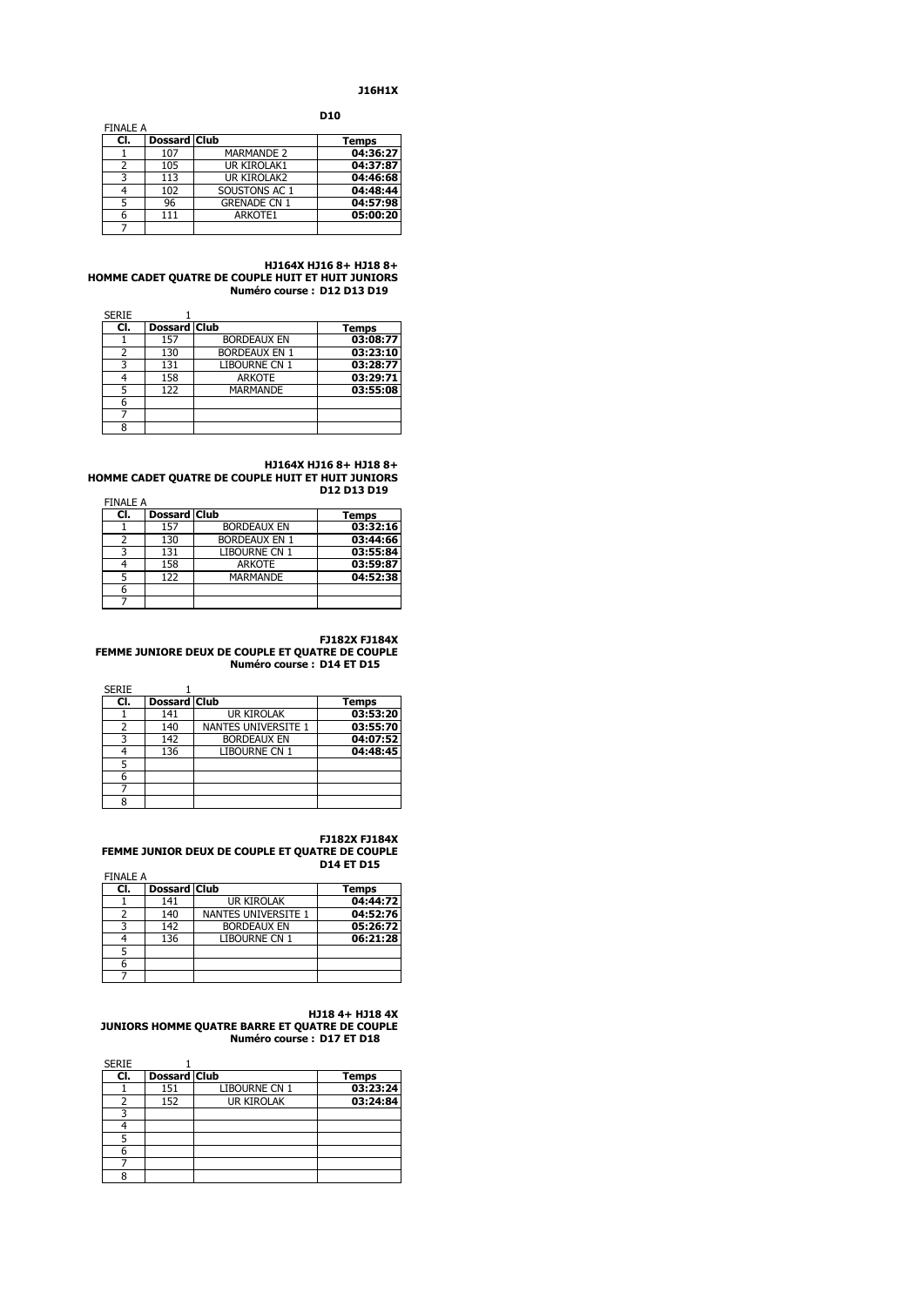## **J16H1X**

**D10**

|                 |                     |                     | ---          |
|-----------------|---------------------|---------------------|--------------|
| <b>FINALE A</b> |                     |                     |              |
| CI.             | <b>Dossard Club</b> |                     | <b>Temps</b> |
|                 | 107                 | <b>MARMANDE 2</b>   | 04:36:27     |
| 2               | 105                 | UR KIROLAK1         | 04:37:87     |
| ঽ               | 113                 | UR KIROLAK2         | 04:46:68     |
|                 | 102                 | SOUSTONS AC 1       | 04:48:44     |
|                 | 96                  | <b>GRENADE CN 1</b> | 04:57:98     |
|                 | 111                 | ARKOTE1             | 05:00:20     |
|                 |                     |                     |              |

#### **HJ164X HJ16 8+ HJ18 8+ HOMME CADET QUATRE DE COUPLE HUIT ET HUIT JUNIORS Numéro course : D12 D13 D19**

| <b>SERIE</b> |                     |                      |              |
|--------------|---------------------|----------------------|--------------|
| CI.          | <b>Dossard Club</b> |                      | <b>Temps</b> |
|              | 157                 | <b>BORDEAUX EN</b>   | 03:08:77     |
| フ            | 130                 | <b>BORDEAUX EN 1</b> | 03:23:10     |
| 3            | 131                 | LIBOURNE CN 1        | 03:28:77     |
|              | 158                 | <b>ARKOTE</b>        | 03:29:71     |
| 5            | 122                 | <b>MARMANDE</b>      | 03:55:08     |
| 6            |                     |                      |              |
|              |                     |                      |              |
| 8            |                     |                      |              |

### **HJ164X HJ16 8+ HJ18 8+ HOMME CADET QUATRE DE COUPLE HUIT ET HUIT JUNIORS D12 D13 D19**

| <b>FINALE A</b> |                     |                      |              |
|-----------------|---------------------|----------------------|--------------|
| CI.             | <b>Dossard Club</b> |                      | <b>Temps</b> |
|                 | 157                 | <b>BORDEAUX EN</b>   | 03:32:16     |
|                 | 130                 | <b>BORDEAUX EN 1</b> | 03:44:66     |
|                 | 131                 | <b>LIBOURNE CN 1</b> | 03:55:84     |
|                 | 158                 | <b>ARKOTE</b>        | 03:59:87     |
|                 | 122                 | <b>MARMANDE</b>      | 04:52:38     |
| 6               |                     |                      |              |
|                 |                     |                      |              |

## **FJ182X FJ184X**

## **FEMME JUNIORE DEUX DE COUPLE ET QUATRE DE COUPLE Numéro course : D14 ET D15**

| <b>SERIE</b> |     |                     |                      |              |
|--------------|-----|---------------------|----------------------|--------------|
|              | CI. | <b>Dossard Club</b> |                      | <b>Temps</b> |
|              |     | 141                 | <b>UR KIROLAK</b>    | 03:53:20     |
|              |     | 140                 | NANTES UNIVERSITE 1  | 03:55:70     |
|              | ٦   | 142                 | <b>BORDEAUX EN</b>   | 04:07:52     |
|              |     | 136                 | <b>LIBOURNE CN 1</b> | 04:48:45     |
|              | 5   |                     |                      |              |
|              | 6   |                     |                      |              |
|              |     |                     |                      |              |
|              | ႙   |                     |                      |              |

### **FJ182X FJ184X**

## **FEMME JUNIOR DEUX DE COUPLE ET QUATRE DE COUPLE D14 ET D15**

FINALE A **Club Club Club Temps**<br> **COMPOSE 141 COMPOSE 144:72** 1 141 UR KIROLAK **04:44:72**<br>2 140 NANTES UNIVERSITE 1 **04:52:76** 2 140 NANTES UNIVERSITE 1 **04:52:76** 3 142 BORDEAUX EN **05:26:72** LIBOURNE CN 1 5 6

7

## **HJ18 4+ HJ18 4X JUNIORS HOMME QUATRE BARRE ET QUATRE DE COUPLE Numéro course : D17 ET D18**

| <b>SERIE</b> |                     |                   |              |
|--------------|---------------------|-------------------|--------------|
| CI.          | <b>Dossard Club</b> |                   | <b>Temps</b> |
|              | 151                 | LIBOURNE CN 1     | 03:23:24     |
|              | 152                 | <b>UR KIROLAK</b> | 03:24:84     |
|              |                     |                   |              |
|              |                     |                   |              |
|              |                     |                   |              |
| 6            |                     |                   |              |
|              |                     |                   |              |
| я            |                     |                   |              |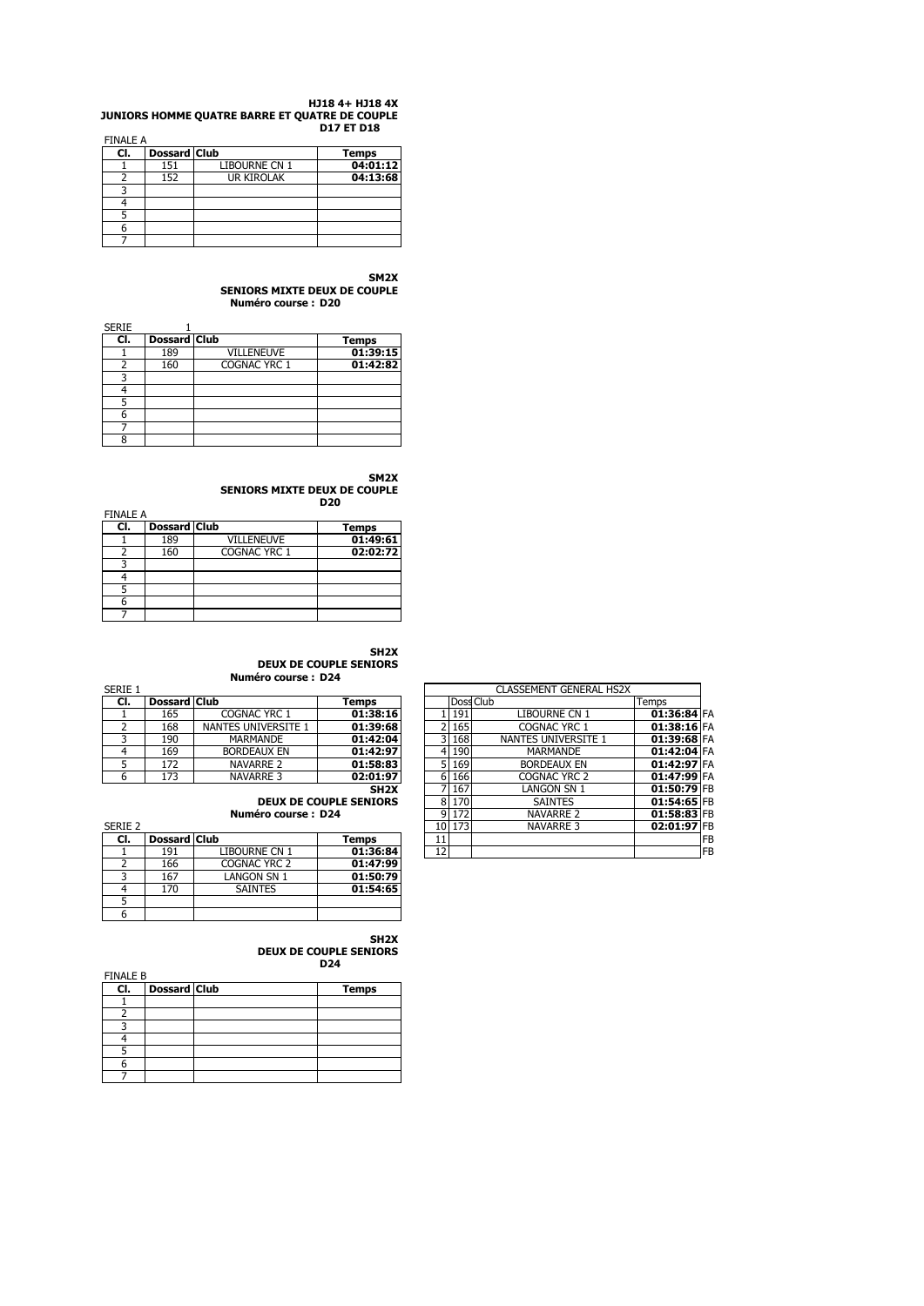#### **HJ18 4+ HJ18 4X JUNIORS HOMME QUATRE BARRE ET QUATRE DE COUPLE D17 ET D18** FINALE A

| <b>FINALE A</b> |                     |               |              |
|-----------------|---------------------|---------------|--------------|
| CI.             | <b>Dossard Club</b> |               | <b>Temps</b> |
|                 | 151                 | LIBOURNE CN 1 | 04:01:12     |
|                 | 152                 | UR KIROLAK    | 04:13:68     |
|                 |                     |               |              |
|                 |                     |               |              |
|                 |                     |               |              |
|                 |                     |               |              |
|                 |                     |               |              |

**SM2X**

**SENIORS MIXTE DEUX DE COUPLE Numéro course : D20**

| <b>SERIE</b> |                     |                   |          |
|--------------|---------------------|-------------------|----------|
| CI.          | <b>Dossard Club</b> |                   | Temps    |
|              | 189                 | <b>VILLENEUVE</b> | 01:39:15 |
| ่า           | 160                 | COGNAC YRC 1      | 01:42:82 |
|              |                     |                   |          |
|              |                     |                   |          |
|              |                     |                   |          |
| 6            |                     |                   |          |
|              |                     |                   |          |
| 8            |                     |                   |          |

**SM2X**

**SENIORS MIXTE DEUX DE COUPLE D20**

| <b>FINALE A</b> |                     |                   | vzu          |
|-----------------|---------------------|-------------------|--------------|
| CI.             | <b>Dossard Club</b> |                   | <b>Temps</b> |
|                 | 189                 | <b>VILLENEUVE</b> | 01:49:61     |
|                 | 160                 | COGNAC YRC 1      | 02:02:72     |
|                 |                     |                   |              |
|                 |                     |                   |              |
|                 |                     |                   |              |
|                 |                     |                   |              |
|                 |                     |                   |              |

# **SH2X**

**SH2X**

## **DEUX DE COUPLE SENIORS Numéro course : D24**

| RIE 1          |                     |                     |                        |  | <b>CLASSEMENT GENERAL HS2X</b> |                      |               |  |
|----------------|---------------------|---------------------|------------------------|--|--------------------------------|----------------------|---------------|--|
| CI.            | <b>Dossard Club</b> |                     | Temps                  |  |                                | Doss Club            | Temps         |  |
|                | 165                 | COGNAC YRC 1        | 01:38:16               |  | 191                            | <b>LIBOURNE CN 1</b> | $01:36:84$ FA |  |
| 2              | 168                 | NANTES UNIVERSITE 1 | 01:39:68               |  | 165                            | <b>COGNAC YRC 1</b>  | $01:38:16$ FA |  |
| 3              | 190                 | <b>MARMANDE</b>     | 01:42:04               |  | 168                            | NANTES UNIVERSITE 1  | $01:39:68$ FA |  |
| $\overline{4}$ | 169                 | <b>BORDEAUX EN</b>  | 01:42:97               |  | 4 190                          | MARMANDE             | 01:42:04 FA   |  |
| 5              | 172                 | <b>NAVARRE 2</b>    | 01:58:83               |  | 169                            | <b>BORDEAUX EN</b>   | 01:42:97 FA   |  |
| 6              | 173                 | NAVARRE 3           | 02:01:97               |  | 166                            | COGNAC YRC 2         | 01:47:99 FA   |  |
|                |                     |                     | SH <sub>2</sub> X      |  | 167                            | LANGON SN 1          | 01:50:79 FB   |  |
|                |                     |                     | DEUX DE COUPLE SENTORS |  | 8 170                          | <b>SAINTFS</b>       | $01:54:65$ FR |  |

**DEUX DE COUPLE SENIORS D24**

|         | <b>DEUX DE COUPLE SENIORS</b> |                    |          |  | 170    | <b>SAINTES</b>   | 01:54:65 FB |    |
|---------|-------------------------------|--------------------|----------|--|--------|------------------|-------------|----|
|         |                               | Numéro course: D24 |          |  | 172    | <b>NAVARRE 2</b> | 01:58:83 FE |    |
| Serie 2 |                               |                    |          |  | 10 173 | <b>NAVARRE 3</b> | 02:01:97 FB |    |
| CI.     | <b>Dossard Club</b>           |                    | Temps    |  |        |                  |             | FB |
|         | 191                           | LIBOURNE CN 1      | 01:36:84 |  |        |                  |             | FB |
|         | 166                           | COGNAC YRC 2       | 01:47:99 |  |        |                  |             |    |
|         | 167                           | LANGON SN 1        | 01:50:79 |  |        |                  |             |    |
|         | 170                           | <b>SAINTES</b>     | 01:54:65 |  |        |                  |             |    |

| <b>ES UNIVERSITE 1</b> | 01:39:68                      |  |    | 165    | <b>COGNAC YRC 1</b> | 01:38:16 FA   |    |
|------------------------|-------------------------------|--|----|--------|---------------------|---------------|----|
| MARMANDE               | 01:42:04                      |  |    | 168    | NANTES UNIVERSITE 1 | 01:39:68 FA   |    |
| ORDEAUX EN             | 01:42:97                      |  | 4  | 190    | <b>MARMANDE</b>     | 01:42:04 FA   |    |
| NAVARRE 2              | 01:58:83                      |  | 5. | 169    | <b>BORDEAUX EN</b>  | 01:42:97 FA   |    |
| NAVARRE 3              | 02:01:97                      |  |    | 166    | COGNAC YRC 2        | 01:47:99 FA   |    |
| SH <sub>2</sub> X      |                               |  |    | 167    | LANGON SN 1         | $01:50:79$ FB |    |
|                        | <b>DEUX DE COUPLE SENIORS</b> |  | 8  | 170    | <b>SAINTES</b>      | $01:54:65$ FB |    |
| Numéro course: D24     |                               |  |    | 172    | <b>NAVARRE 2</b>    | $01:58:83$ FB |    |
|                        |                               |  |    | 10 173 | <b>NAVARRE 3</b>    | 02:01:97 FB   |    |
|                        | Temps                         |  | 11 |        |                     |               | FB |
| Bourne CN 1            | 01:36:84                      |  | 12 |        |                     |               | FB |
| <b>DGNAC YRC 2</b>     | 01-47-99                      |  |    |        |                     |               |    |

## FINALE B

5 6

SERIE 1

| <b>FINALE D</b><br>CI. | <b>Dossard Club</b> | <b>Temps</b> |
|------------------------|---------------------|--------------|
|                        |                     |              |
|                        |                     |              |
|                        |                     |              |
|                        |                     |              |
|                        |                     |              |
|                        |                     |              |
|                        |                     |              |